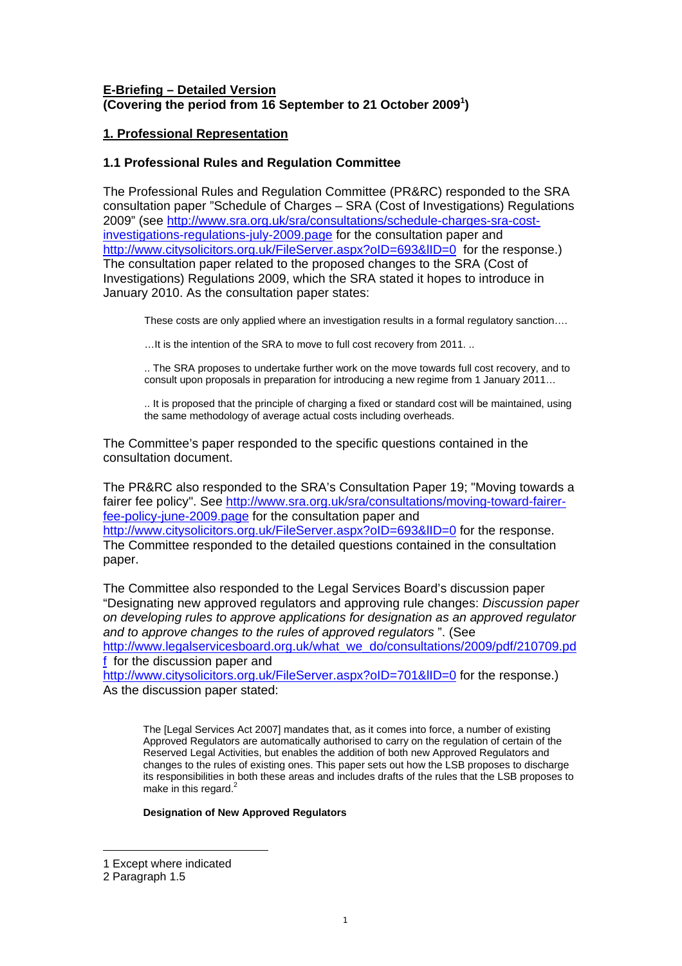## **E-Briefing – Detailed Version (Covering the period from 16 September to 21 October 2009[1](#page-0-0) )**

## **1. Professional Representation**

## **1.1 Professional Rules and Regulation Committee**

The Professional Rules and Regulation Committee (PR&RC) responded to the SRA consultation paper "Schedule of Charges – SRA (Cost of Investigations) Regulations 2009" (see [http://www.sra.org.uk/sra/consultations/schedule-charges-sra-cost](http://www.sra.org.uk/sra/consultations/schedule-charges-sra-cost-investigations-regulations-july-2009.page)[investigations-regulations-july-2009.page](http://www.sra.org.uk/sra/consultations/schedule-charges-sra-cost-investigations-regulations-july-2009.page) for the consultation paper and http://www.citysolicitors.org.uk/FileServer.aspx?oID=693&IID=0 for the response.) The consultation paper related to the proposed changes to the SRA (Cost of Investigations) Regulations 2009, which the SRA stated it hopes to introduce in January 2010. As the consultation paper states:

These costs are only applied where an investigation results in a formal regulatory sanction….

…It is the intention of the SRA to move to full cost recovery from 2011. ..

.. The SRA proposes to undertake further work on the move towards full cost recovery, and to consult upon proposals in preparation for introducing a new regime from 1 January 2011…

.. It is proposed that the principle of charging a fixed or standard cost will be maintained, using the same methodology of average actual costs including overheads.

The Committee's paper responded to the specific questions contained in the consultation document.

The PR&RC also responded to the SRA's Consultation Paper 19; "Moving towards a fairer fee policy". See [http://www.sra.org.uk/sra/consultations/moving-toward-fairer](http://www.sra.org.uk/sra/consultations/moving-toward-fairer-fee-policy-june-2009.page)[fee-policy-june-2009.page](http://www.sra.org.uk/sra/consultations/moving-toward-fairer-fee-policy-june-2009.page) for the consultation paper and http://www.citysolicitors.org.uk/FileServer.aspx?oID=693&IID=0 for the response. The Committee responded to the detailed questions contained in the consultation paper.

The Committee also responded to the Legal Services Board's discussion paper "Designating new approved regulators and approving rule changes: *Discussion paper on developing rules to approve applications for designation as an approved regulator and to approve changes to the rules of approved regulators* ". (See [http://www.legalservicesboard.org.uk/what\\_we\\_do/consultations/2009/pdf/210709.pd](http://www.legalservicesboard.org.uk/what_we_do/consultations/2009/pdf/210709.pdf) [f](http://www.legalservicesboard.org.uk/what_we_do/consultations/2009/pdf/210709.pdf) for the discussion paper and

http://www.citysolicitors.org.uk/FileServer.aspx?oID=701&IID=0 for the response.) As the discussion paper stated:

The [Legal Services Act 2007] mandates that, as it comes into force, a number of existing Approved Regulators are automatically authorised to carry on the regulation of certain of the Reserved Legal Activities, but enables the addition of both new Approved Regulators and changes to the rules of existing ones. This paper sets out how the LSB proposes to discharge its responsibilities in both these areas and includes drafts of the rules that the LSB proposes to make in this regard.<sup>[2](#page-0-1)</sup>

### **Designation of New Approved Regulators**

 $\overline{a}$ 

<span id="page-0-0"></span><sup>1</sup> Except where indicated

<span id="page-0-1"></span><sup>2</sup> Paragraph 1.5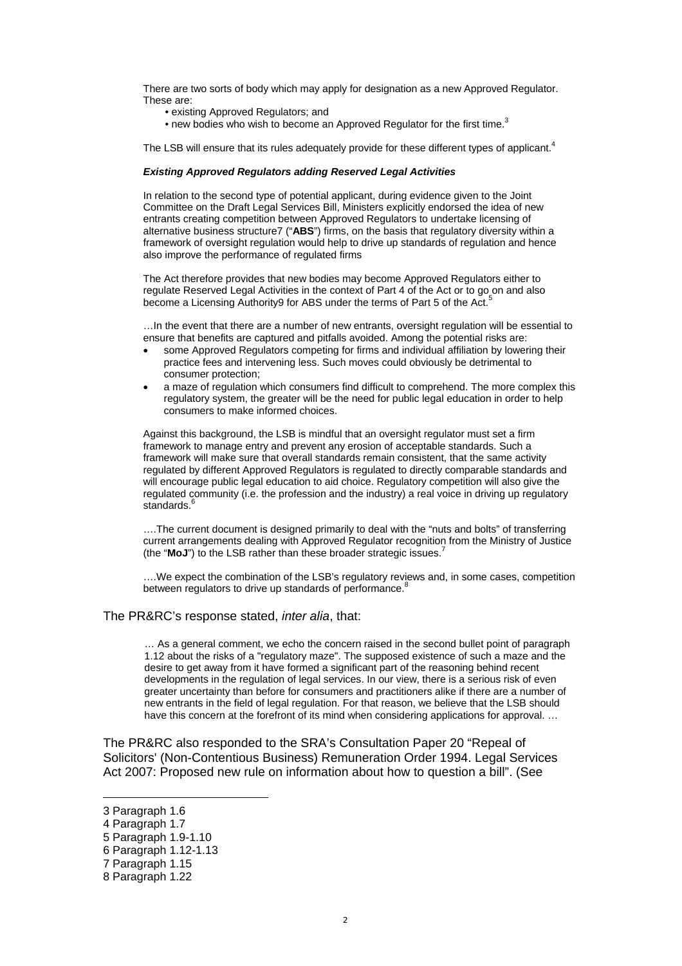There are two sorts of body which may apply for designation as a new Approved Regulator. These are:

- existing Approved Regulators; and
- new bodies who wish to become an Approved Regulator for the first time.<sup>[3](#page-1-0)</sup>

The LSB will ensure that its rules adequately provide for these different types of applicant.<sup>[4](#page-1-1)</sup>

#### *Existing Approved Regulators adding Reserved Legal Activities*

In relation to the second type of potential applicant, during evidence given to the Joint Committee on the Draft Legal Services Bill, Ministers explicitly endorsed the idea of new entrants creating competition between Approved Regulators to undertake licensing of alternative business structure7 ("**ABS**") firms, on the basis that regulatory diversity within a framework of oversight regulation would help to drive up standards of regulation and hence also improve the performance of regulated firms

The Act therefore provides that new bodies may become Approved Regulators either to regulate Reserved Legal Activities in the context of Part 4 of the Act or to go on and also become a Licensing Authority9 for ABS under the terms of Part [5](#page-1-2) of the Act.<sup>5</sup>

…In the event that there are a number of new entrants, oversight regulation will be essential to ensure that benefits are captured and pitfalls avoided. Among the potential risks are:

- some Approved Regulators competing for firms and individual affiliation by lowering their practice fees and intervening less. Such moves could obviously be detrimental to consumer protection;
- a maze of regulation which consumers find difficult to comprehend. The more complex this regulatory system, the greater will be the need for public legal education in order to help consumers to make informed choices.

Against this background, the LSB is mindful that an oversight regulator must set a firm framework to manage entry and prevent any erosion of acceptable standards. Such a framework will make sure that overall standards remain consistent, that the same activity regulated by different Approved Regulators is regulated to directly comparable standards and will encourage public legal education to aid choice. Regulatory competition will also give the regulated community (i.e. the profession and the industry) a real voice in driving up regulatory standards.<sup>[6](#page-1-3)</sup>

….The current document is designed primarily to deal with the "nuts and bolts" of transferring current arrangements dealing with Approved Regulator recognition from the Ministry of Justice (the "**MoJ**") to the LSB rather than these broader strategic issues.<sup>1</sup>

….We expect the combination of the LSB's regulatory reviews and, in some cases, competition between regulators to drive up standards of performance.<sup>[8](#page-1-5)</sup>

#### The PR&RC's response stated, *inter alia*, that:

… As a general comment, we echo the concern raised in the second bullet point of paragraph 1.12 about the risks of a "regulatory maze". The supposed existence of such a maze and the desire to get away from it have formed a significant part of the reasoning behind recent developments in the regulation of legal services. In our view, there is a serious risk of even greater uncertainty than before for consumers and practitioners alike if there are a number of new entrants in the field of legal regulation. For that reason, we believe that the LSB should have this concern at the forefront of its mind when considering applications for approval. ...

The PR&RC also responded to the SRA's Consultation Paper 20 "Repeal of Solicitors' (Non-Contentious Business) Remuneration Order 1994. Legal Services Act 2007: Proposed new rule on information about how to question a bill". (See

 $\overline{a}$ 

<span id="page-1-0"></span><sup>3</sup> Paragraph 1.6

<span id="page-1-1"></span><sup>4</sup> Paragraph 1.7

<span id="page-1-2"></span><sup>5</sup> Paragraph 1.9-1.10

<span id="page-1-3"></span><sup>6</sup> Paragraph 1.12-1.13

<span id="page-1-4"></span><sup>7</sup> Paragraph 1.15

<span id="page-1-5"></span><sup>8</sup> Paragraph 1.22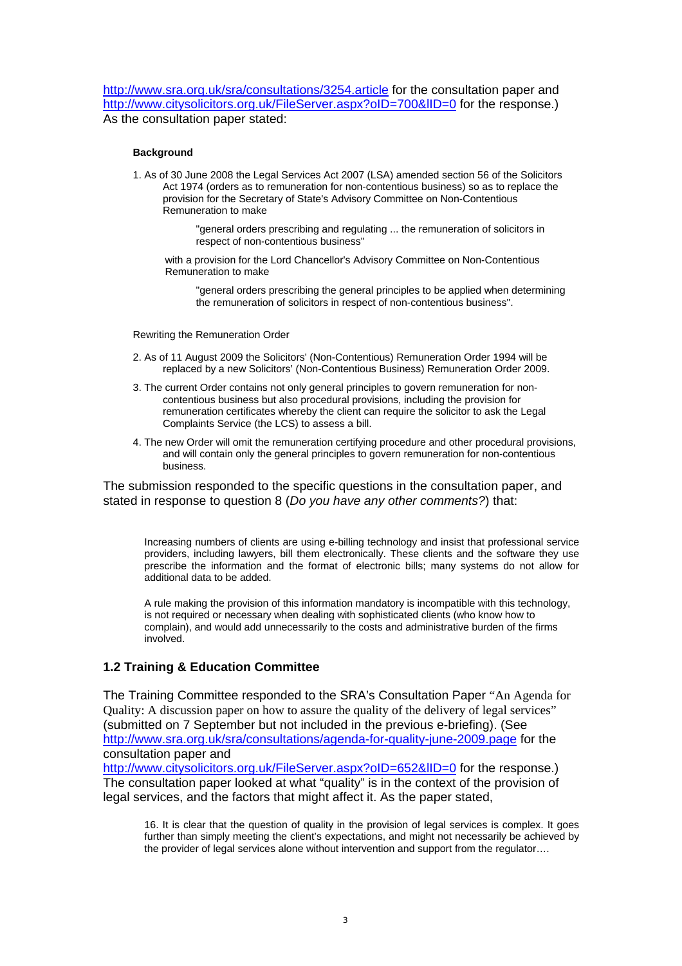<http://www.sra.org.uk/sra/consultations/3254.article> for the consultation paper and http://www.citysolicitors.org.uk/FileServer.aspx?oID=700&IID=0 for the response.) As the consultation paper stated:

#### **Background**

1. As of 30 June 2008 the Legal Services Act 2007 (LSA) amended section 56 of the Solicitors Act 1974 (orders as to remuneration for non-contentious business) so as to replace the provision for the Secretary of State's Advisory Committee on Non-Contentious Remuneration to make

> "general orders prescribing and regulating ... the remuneration of solicitors in respect of non-contentious business"

with a provision for the Lord Chancellor's Advisory Committee on Non-Contentious Remuneration to make

"general orders prescribing the general principles to be applied when determining the remuneration of solicitors in respect of non-contentious business".

Rewriting the Remuneration Order

- 2. As of 11 August 2009 the Solicitors' (Non-Contentious) Remuneration Order 1994 will be replaced by a new Solicitors' (Non-Contentious Business) Remuneration Order 2009.
- 3. The current Order contains not only general principles to govern remuneration for noncontentious business but also procedural provisions, including the provision for remuneration certificates whereby the client can require the solicitor to ask the Legal Complaints Service (the LCS) to assess a bill.
- 4. The new Order will omit the remuneration certifying procedure and other procedural provisions, and will contain only the general principles to govern remuneration for non-contentious business.

The submission responded to the specific questions in the consultation paper, and stated in response to question 8 (*Do you have any other comments?*) that:

Increasing numbers of clients are using e-billing technology and insist that professional service providers, including lawyers, bill them electronically. These clients and the software they use prescribe the information and the format of electronic bills; many systems do not allow for additional data to be added.

A rule making the provision of this information mandatory is incompatible with this technology, is not required or necessary when dealing with sophisticated clients (who know how to complain), and would add unnecessarily to the costs and administrative burden of the firms involved.

## **1.2 Training & Education Committee**

The Training Committee responded to the SRA's Consultation Paper "An Agenda for Quality: A discussion paper on how to assure the quality of the delivery of legal services" (submitted on 7 September but not included in the previous e-briefing). (See <http://www.sra.org.uk/sra/consultations/agenda-for-quality-june-2009.page>for the consultation paper and

http://www.citysolicitors.org.uk/FileServer.aspx?oID=652&IID=0 for the response.) The consultation paper looked at what "quality" is in the context of the provision of legal services, and the factors that might affect it. As the paper stated,

16. It is clear that the question of quality in the provision of legal services is complex. It goes further than simply meeting the client's expectations, and might not necessarily be achieved by the provider of legal services alone without intervention and support from the regulator….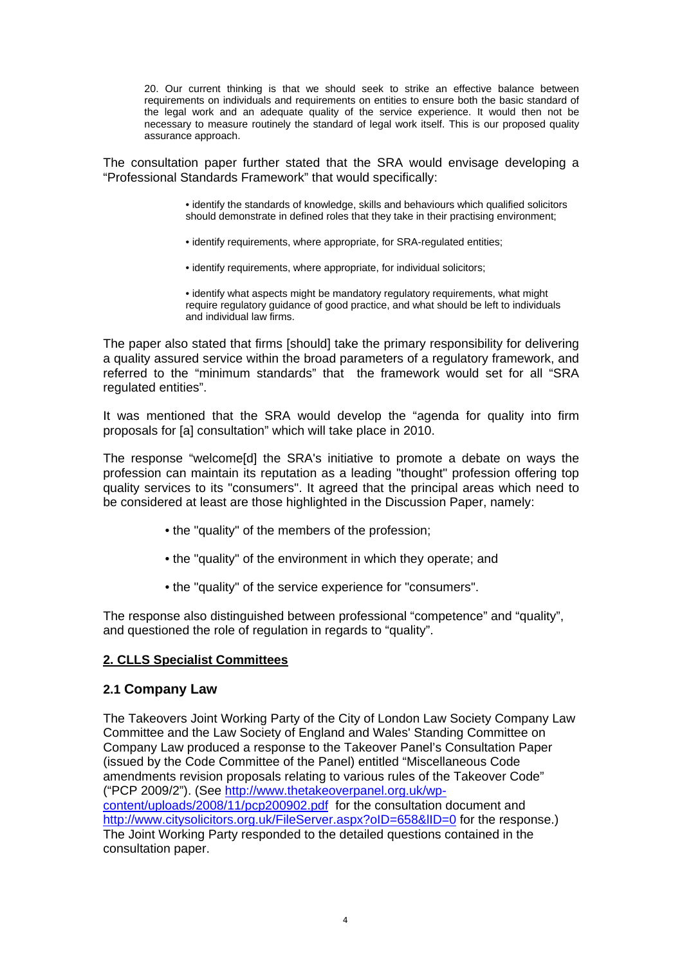20. Our current thinking is that we should seek to strike an effective balance between requirements on individuals and requirements on entities to ensure both the basic standard of the legal work and an adequate quality of the service experience. It would then not be necessary to measure routinely the standard of legal work itself. This is our proposed quality assurance approach.

The consultation paper further stated that the SRA would envisage developing a "Professional Standards Framework" that would specifically:

> • identify the standards of knowledge, skills and behaviours which qualified solicitors should demonstrate in defined roles that they take in their practising environment;

- identify requirements, where appropriate, for SRA-regulated entities;
- identify requirements, where appropriate, for individual solicitors;

• identify what aspects might be mandatory regulatory requirements, what might require regulatory guidance of good practice, and what should be left to individuals and individual law firms.

The paper also stated that firms [should] take the primary responsibility for delivering a quality assured service within the broad parameters of a regulatory framework, and referred to the "minimum standards" that the framework would set for all "SRA regulated entities".

It was mentioned that the SRA would develop the "agenda for quality into firm proposals for [a] consultation" which will take place in 2010.

The response "welcome[d] the SRA's initiative to promote a debate on ways the profession can maintain its reputation as a leading "thought" profession offering top quality services to its "consumers". It agreed that the principal areas which need to be considered at least are those highlighted in the Discussion Paper, namely:

- the "quality" of the members of the profession;
- the "quality" of the environment in which they operate; and
- the "quality" of the service experience for "consumers".

The response also distinguished between professional "competence" and "quality", and questioned the role of regulation in regards to "quality".

## **2. CLLS Specialist Committees**

## **2.1 Company Law**

The Takeovers Joint Working Party of the City of London Law Society Company Law Committee and the Law Society of England and Wales' Standing Committee on Company Law produced a response to the Takeover Panel's Consultation Paper (issued by the Code Committee of the Panel) entitled "Miscellaneous Code amendments revision proposals relating to various rules of the Takeover Code" ("PCP 2009/2"). (See [http://www.thetakeoverpanel.org.uk/wp](http://www.thetakeoverpanel.org.uk/wp-content/uploads/2008/11/pcp200902.pdf)[content/uploads/2008/11/pcp200902.pdf](http://www.thetakeoverpanel.org.uk/wp-content/uploads/2008/11/pcp200902.pdf) for the consultation document and http://www.citysolicitors.org.uk/FileServer.aspx?oID=658&IID=0 for the response.) The Joint Working Party responded to the detailed questions contained in the consultation paper.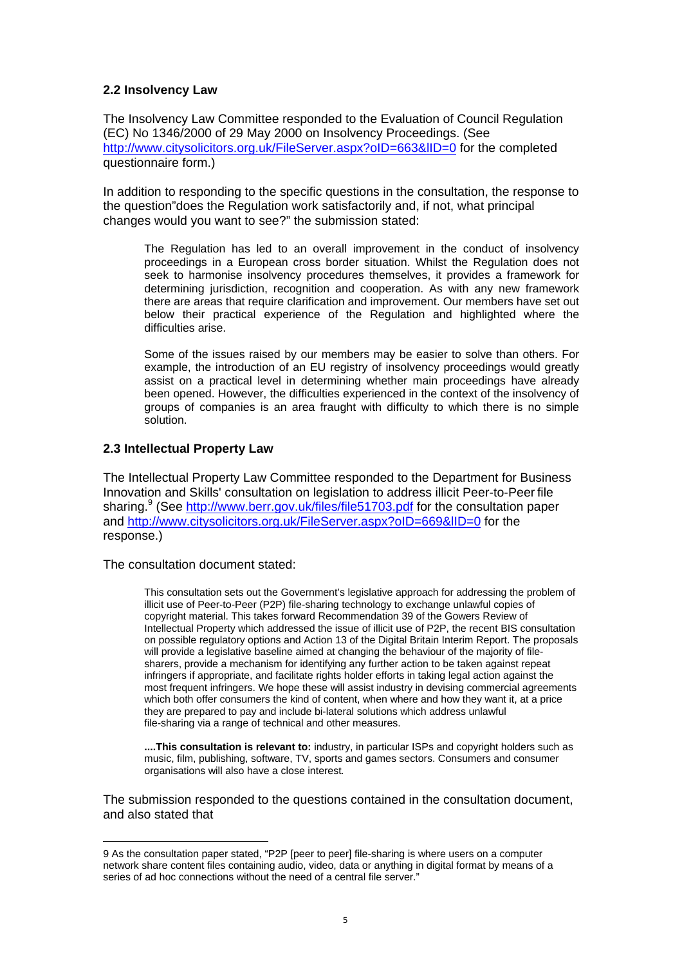## **2.2 Insolvency Law**

The Insolvency Law Committee responded to the Evaluation of Council Regulation (EC) No 1346/2000 of 29 May 2000 on Insolvency Proceedings. (See <http://www.citysolicitors.org.uk/FileServer.aspx?oID=663&lID=0> for the completed questionnaire form.)

In addition to responding to the specific questions in the consultation, the response to the question"does the Regulation work satisfactorily and, if not, what principal changes would you want to see?" the submission stated:

The Regulation has led to an overall improvement in the conduct of insolvency proceedings in a European cross border situation. Whilst the Regulation does not seek to harmonise insolvency procedures themselves, it provides a framework for determining jurisdiction, recognition and cooperation. As with any new framework there are areas that require clarification and improvement. Our members have set out below their practical experience of the Regulation and highlighted where the difficulties arise.

Some of the issues raised by our members may be easier to solve than others. For example, the introduction of an EU registry of insolvency proceedings would greatly assist on a practical level in determining whether main proceedings have already been opened. However, the difficulties experienced in the context of the insolvency of groups of companies is an area fraught with difficulty to which there is no simple solution.

## **2.3 Intellectual Property Law**

The Intellectual Property Law Committee responded to the Department for Business Innovation and Skills' consultation on legislation to address illicit Peer-to-Peer file sharing.<sup>[9](#page-4-0)</sup> (See<http://www.berr.gov.uk/files/file51703.pdf>for the consultation paper and<http://www.citysolicitors.org.uk/FileServer.aspx?oID=669&lID=0>for the response.)

The consultation document stated:

 $\overline{a}$ 

This consultation sets out the Government's legislative approach for addressing the problem of illicit use of Peer-to-Peer (P2P) file-sharing technology to exchange unlawful copies of copyright material. This takes forward Recommendation 39 of the Gowers Review of Intellectual Property which addressed the issue of illicit use of P2P, the recent BIS consultation on possible regulatory options and Action 13 of the Digital Britain Interim Report. The proposals will provide a legislative baseline aimed at changing the behaviour of the majority of filesharers, provide a mechanism for identifying any further action to be taken against repeat infringers if appropriate, and facilitate rights holder efforts in taking legal action against the most frequent infringers. We hope these will assist industry in devising commercial agreements which both offer consumers the kind of content, when where and how they want it, at a price they are prepared to pay and include bi-lateral solutions which address unlawful file-sharing via a range of technical and other measures.

**....This consultation is relevant to:** industry, in particular ISPs and copyright holders such as music, film, publishing, software, TV, sports and games sectors. Consumers and consumer organisations will also have a close interest*.*

The submission responded to the questions contained in the consultation document, and also stated that

<span id="page-4-0"></span><sup>9</sup> As the consultation paper stated, "P2P [peer to peer] file-sharing is where users on a computer network share content files containing audio, video, data or anything in digital format by means of a series of ad hoc connections without the need of a central file server."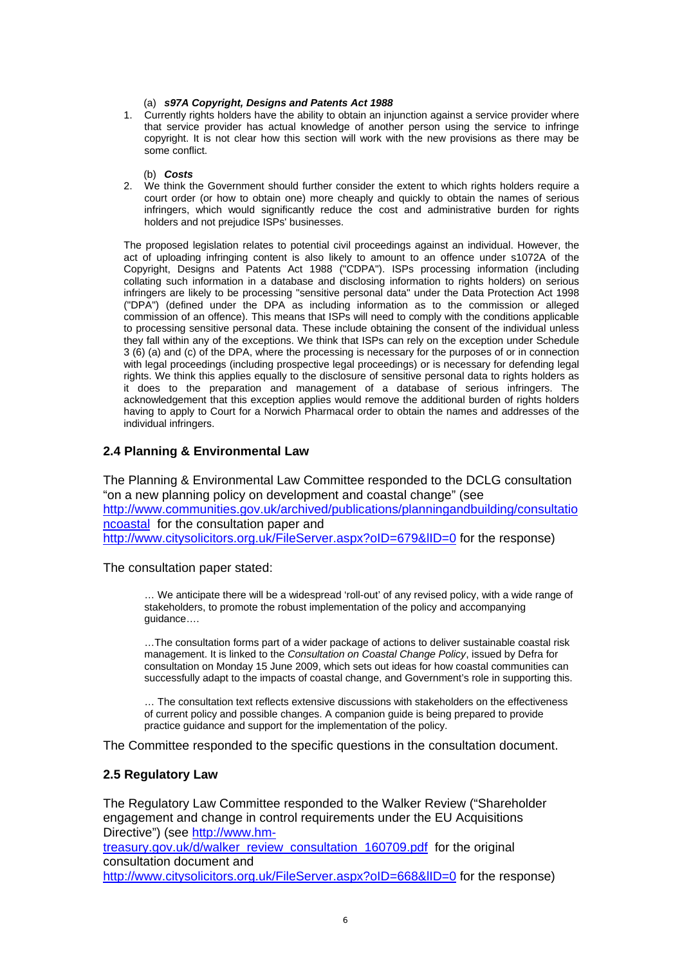#### (a) *s97A Copyright, Designs and Patents Act 1988*

1. Currently rights holders have the ability to obtain an injunction against a service provider where that service provider has actual knowledge of another person using the service to infringe copyright. It is not clear how this section will work with the new provisions as there may be some conflict.

(b) *Costs* 

2. We think the Government should further consider the extent to which rights holders require a court order (or how to obtain one) more cheaply and quickly to obtain the names of serious infringers, which would significantly reduce the cost and administrative burden for rights holders and not prejudice ISPs' businesses.

The proposed legislation relates to potential civil proceedings against an individual. However, the act of uploading infringing content is also likely to amount to an offence under s1072A of the Copyright, Designs and Patents Act 1988 ("CDPA"). ISPs processing information (including collating such information in a database and disclosing information to rights holders) on serious infringers are likely to be processing "sensitive personal data" under the Data Protection Act 1998 ("DPA") (defined under the DPA as including information as to the commission or alleged commission of an offence). This means that ISPs will need to comply with the conditions applicable to processing sensitive personal data. These include obtaining the consent of the individual unless they fall within any of the exceptions. We think that ISPs can rely on the exception under Schedule 3 (6) (a) and (c) of the DPA, where the processing is necessary for the purposes of or in connection with legal proceedings (including prospective legal proceedings) or is necessary for defending legal rights. We think this applies equally to the disclosure of sensitive personal data to rights holders as it does to the preparation and management of a database of serious infringers. The acknowledgement that this exception applies would remove the additional burden of rights holders having to apply to Court for a Norwich Pharmacal order to obtain the names and addresses of the individual infringers.

## **2.4 Planning & Environmental Law**

The Planning & Environmental Law Committee responded to the DCLG consultation "on a new planning policy on development and coastal change" (see [http://www.communities.gov.uk/archived/publications/planningandbuilding/consultatio](http://www.communities.gov.uk/archived/publications/planningandbuilding/consultationcoastal) [ncoastal](http://www.communities.gov.uk/archived/publications/planningandbuilding/consultationcoastal) for the consultation paper and <http://www.citysolicitors.org.uk/FileServer.aspx?oID=679&lID=0> for the response)

The consultation paper stated:

… We anticipate there will be a widespread 'roll-out' of any revised policy, with a wide range of stakeholders, to promote the robust implementation of the policy and accompanying guidance….

…The consultation forms part of a wider package of actions to deliver sustainable coastal risk management. It is linked to the *Consultation on Coastal Change Policy*, issued by Defra for consultation on Monday 15 June 2009, which sets out ideas for how coastal communities can successfully adapt to the impacts of coastal change, and Government's role in supporting this.

… The consultation text reflects extensive discussions with stakeholders on the effectiveness of current policy and possible changes. A companion guide is being prepared to provide practice guidance and support for the implementation of the policy.

The Committee responded to the specific questions in the consultation document.

## **2.5 Regulatory Law**

The Regulatory Law Committee responded to the Walker Review ("Shareholder engagement and change in control requirements under the EU Acquisitions Directive") (see [http://www.hm-](http://www.hm-treasury.gov.uk/d/walker_review_consultation_160709.pdf)

[treasury.gov.uk/d/walker\\_review\\_consultation\\_160709.pdf](http://www.hm-treasury.gov.uk/d/walker_review_consultation_160709.pdf) for the original consultation document and

<http://www.citysolicitors.org.uk/FileServer.aspx?oID=668&lID=0> for the response)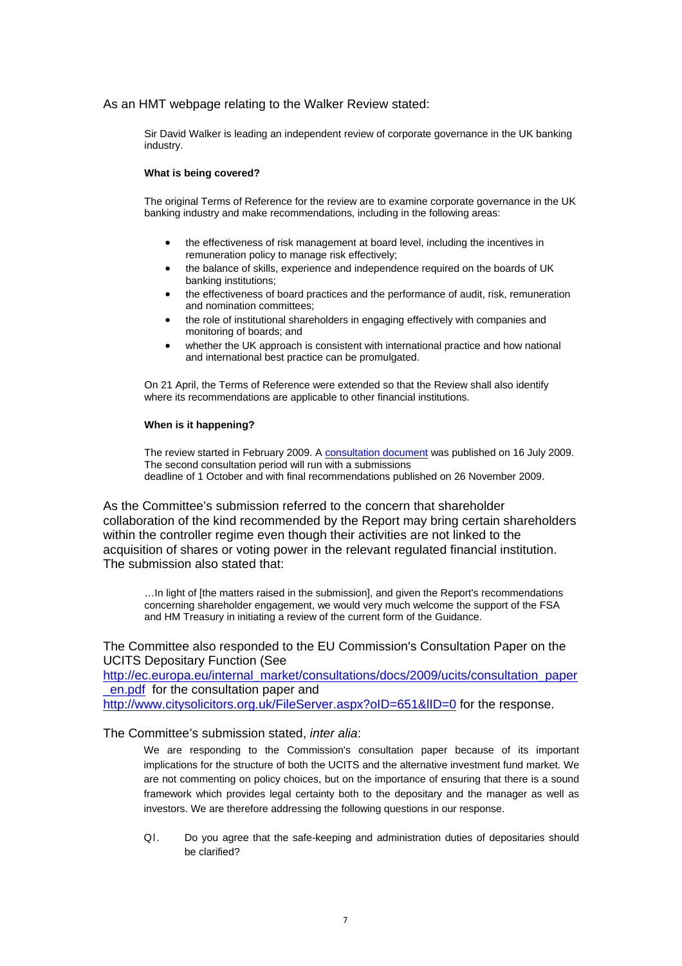## As an HMT webpage relating to the Walker Review stated:

Sir David Walker is leading an independent review of corporate governance in the UK banking industry.

#### **What is being covered?**

The original Terms of Reference for the review are to examine corporate governance in the UK banking industry and make recommendations, including in the following areas:

- the effectiveness of risk management at board level, including the incentives in remuneration policy to manage risk effectively;
- the balance of skills, experience and independence required on the boards of UK banking institutions;
- the effectiveness of board practices and the performance of audit, risk, remuneration and nomination committees;
- the role of institutional shareholders in engaging effectively with companies and monitoring of boards; and
- whether the UK approach is consistent with international practice and how national and international best practice can be promulgated.

On 21 April, the Terms of Reference were extended so that the Review shall also identify where its recommendations are applicable to other financial institutions.

#### **When is it happening?**

The review started in February 2009. A [consultation document](http://www.hm-treasury.gov.uk/d/walker_review_consultation_160709.pdf) was published on 16 July 2009. The second consultation period will run with a submissions deadline of 1 October and with final recommendations published on 26 November 2009.

As the Committee's submission referred to the concern that shareholder collaboration of the kind recommended by the Report may bring certain shareholders within the controller regime even though their activities are not linked to the acquisition of shares or voting power in the relevant regulated financial institution. The submission also stated that:

…In light of [the matters raised in the submission], and given the Report's recommendations concerning shareholder engagement, we would very much welcome the support of the FSA and HM Treasury in initiating a review of the current form of the Guidance.

## The Committee also responded to the EU Commission's Consultation Paper on the UCITS Depositary Function (See

[http://ec.europa.eu/internal\\_market/consultations/docs/2009/ucits/consultation\\_paper](http://ec.europa.eu/internal_market/consultations/docs/2009/ucits/consultation_paper_en.pdf) [\\_en.pdf](http://ec.europa.eu/internal_market/consultations/docs/2009/ucits/consultation_paper_en.pdf) for the consultation paper and http://www.citysolicitors.org.uk/FileServer.aspx?oID=651&IID=0 for the response.

## The Committee's submission stated, *inter alia*:

We are responding to the Commission's consultation paper because of its important implications for the structure of both the UCITS and the alternative investment fund market. We are not commenting on policy choices, but on the importance of ensuring that there is a sound framework which provides legal certainty both to the depositary and the manager as well as investors. We are therefore addressing the following questions in our response.

Ql. Do you agree that the safe-keeping and administration duties of depositaries should be clarified?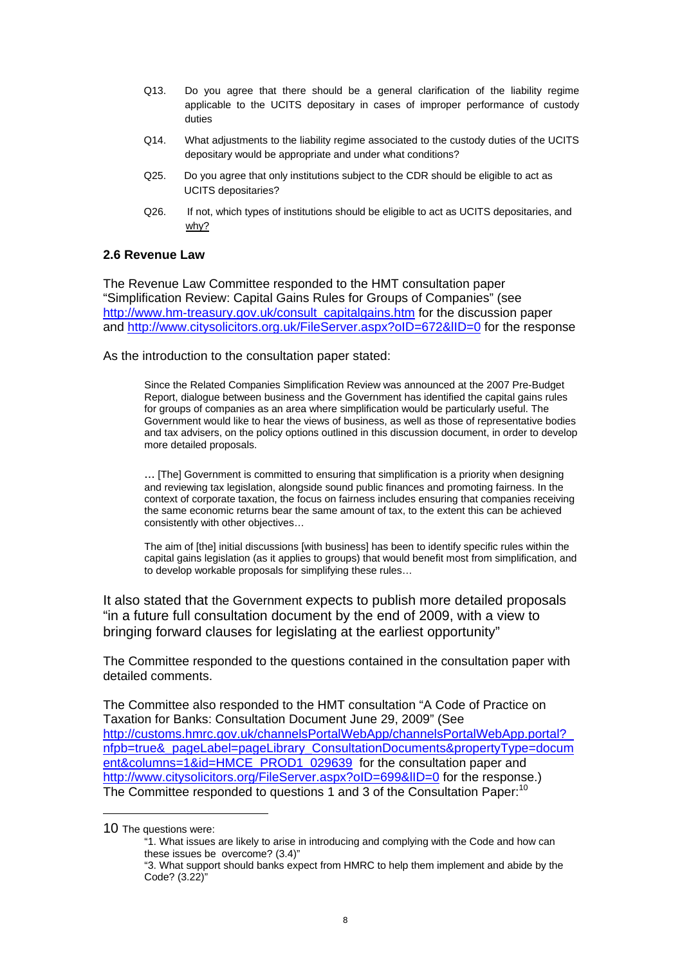- Q13. Do you agree that there should be a general clarification of the liability regime applicable to the UCITS depositary in cases of improper performance of custody duties
- Q14. What adjustments to the liability regime associated to the custody duties of the UCITS depositary would be appropriate and under what conditions?
- Q25. Do you agree that only institutions subject to the CDR should be eligible to act as UCITS depositaries?
- Q26. If not, which types of institutions should be eligible to act as UCITS depositaries, and why?

## **2.6 Revenue Law**

The Revenue Law Committee responded to the HMT consultation paper "Simplification Review: Capital Gains Rules for Groups of Companies" (see [http://www.hm-treasury.gov.uk/consult\\_capitalgains.htm](http://www.hm-treasury.gov.uk/consult_capitalgains.htm) for the discussion paper and<http://www.citysolicitors.org.uk/FileServer.aspx?oID=672&lID=0>for the response

As the introduction to the consultation paper stated:

Since the Related Companies Simplification Review was announced at the 2007 Pre-Budget Report, dialogue between business and the Government has identified the capital gains rules for groups of companies as an area where simplification would be particularly useful. The Government would like to hear the views of business, as well as those of representative bodies and tax advisers, on the policy options outlined in this discussion document, in order to develop more detailed proposals.

... [The] Government is committed to ensuring that simplification is a priority when designing and reviewing tax legislation, alongside sound public finances and promoting fairness. In the context of corporate taxation, the focus on fairness includes ensuring that companies receiving the same economic returns bear the same amount of tax, to the extent this can be achieved consistently with other objectives…

The aim of [the] initial discussions [with business] has been to identify specific rules within the capital gains legislation (as it applies to groups) that would benefit most from simplification, and to develop workable proposals for simplifying these rules…

It also stated that the Government expects to publish more detailed proposals "in a future full consultation document by the end of 2009, with a view to bringing forward clauses for legislating at the earliest opportunity"

The Committee responded to the questions contained in the consultation paper with detailed comments.

The Committee also responded to the HMT consultation "A Code of Practice on Taxation for Banks: Consultation Document June 29, 2009" (See http://customs.hmrc.gov.uk/channelsPortalWebApp/channelsPortalWebApp.portal? [nfpb=true&\\_pageLabel=pageLibrary\\_ConsultationDocuments&propertyType=docum](http://customs.hmrc.gov.uk/channelsPortalWebApp/channelsPortalWebApp.portal?_nfpb=true&_pageLabel=pageLibrary_ConsultationDocuments&propertyType=document&columns=1&id=HMCE_PROD1_029639) [ent&columns=1&id=HMCE\\_PROD1\\_029639](http://customs.hmrc.gov.uk/channelsPortalWebApp/channelsPortalWebApp.portal?_nfpb=true&_pageLabel=pageLibrary_ConsultationDocuments&propertyType=document&columns=1&id=HMCE_PROD1_029639) for the consultation paper and http://www.citysolicitors.org/FileServer.aspx?oID=699&IID=0 for the response.) The Committee responded to questions 1 and 3 of the Consultation Paper:<sup>[10](#page-7-0)</sup>

 $\overline{a}$ 

<span id="page-7-0"></span><sup>10</sup> The questions were:

<sup>&</sup>quot;1. What issues are likely to arise in introducing and complying with the Code and how can these issues be overcome? (3.4)"

<sup>&</sup>quot;3. What support should banks expect from HMRC to help them implement and abide by the Code? (3.22)"